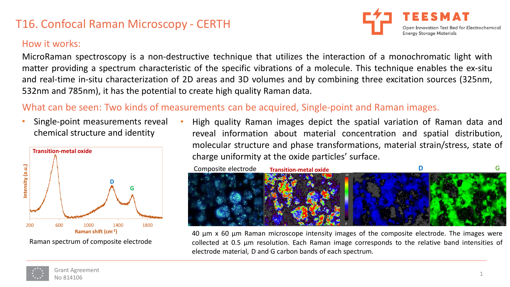# T16. Confocal Raman Microscopy - CERTH

#### How it works:

MicroRaman spectroscopy is a non-destructive technique that utilizes the interaction of a monochromatic light with matter providing a spectrum characteristic of the specific vibrations of a molecule. This technique enables the ex-situ and real-time in-situ characterization of 2D areas and 3D volumes and by combining three excitation sources (325nm, 532nm and 785nm), it has the potential to create high quality Raman data.

### What can be seen: Two kinds of measurements can be acquired, Single-point and Raman images.

Single-point measurements reveal chemical structure and identity



Raman spectrum of composite electrode

• High quality Raman images depict the spatial variation of Raman data and reveal information about material concentration and spatial distribution, molecular structure and phase transformations, material strain/stress, state of charge uniformity at the oxide particles' surface.



40 μm x 60 μm Raman microscope intensity images of the composite electrode. The images were collected at 0.5 μm resolution. Each Raman image corresponds to the relative band intensities of electrode material, D and G carbon bands of each spectrum.



Open Innovation Test Bed for Electrochemical

**Energy Storage Materials**